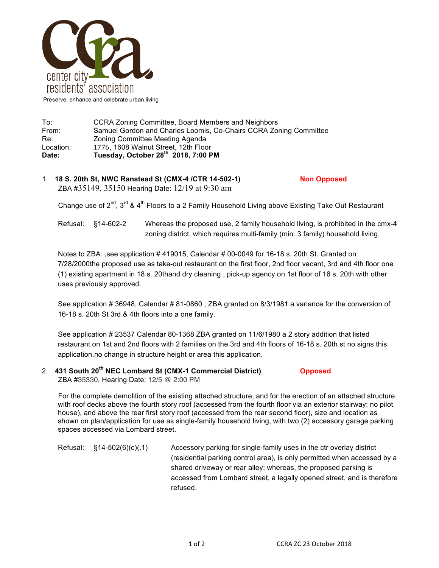

| To:       | CCRA Zoning Committee, Board Members and Neighbors                                                   |  |  |
|-----------|------------------------------------------------------------------------------------------------------|--|--|
| From:     | Samuel Gordon and Charles Loomis, Co-Chairs CCRA Zoning Committee<br>Zoning Committee Meeting Agenda |  |  |
| Re:       |                                                                                                      |  |  |
| Location: | 1776, 1608 Walnut Street, 12th Floor                                                                 |  |  |
| Date:     | Tuesday, October 28 <sup>th</sup> 2018, 7:00 PM                                                      |  |  |

1. **18 S. 20th St, NWC Ranstead St (CMX-4 /CTR 14-502-1) Non Opposed** ZBA #35149, 35150 Hearing Date: 12/19 at 9:30 am

Change use of  $2^{nd}$ ,  $3^{rd}$  &  $4^{th}$  Floors to a 2 Family Household Living above Existing Take Out Restaurant

Refusal: §14-602-2 Whereas the proposed use, 2 family household living, is prohibited in the cmx-4 zoning district, which requires multi-family (min. 3 family) household living.

Notes to ZBA: ,see application # 419015, Calendar # 00-0049 for 16-18 s. 20th St. Granted on 7/28/2000the proposed use as take-out restaurant on the first floor, 2nd floor vacant, 3rd and 4th floor one (1) existing apartment in 18 s. 20thand dry cleaning , pick-up agency on 1st floor of 16 s. 20th with other uses previously approved.

See application # 36948, Calendar # 81-0860 , ZBA granted on 8/3/1981 a variance for the conversion of 16-18 s. 20th St 3rd & 4th floors into a one family.

See application # 23537 Calendar 80-1368 ZBA granted on 11/6/1980 a 2 story addition that listed restaurant on 1st and 2nd floors with 2 families on the 3rd and 4th floors of 16-18 s. 20th st no signs this application.no change in structure height or area this application.

2. **431 South 20th NEC Lombard St (CMX-1 Commercial District) Opposed** ZBA #35330, Hearing Date: 12/5 @ 2:00 PM

For the complete demolition of the existing attached structure, and for the erection of an attached structure with roof decks above the fourth story roof (accessed from the fourth floor via an exterior stairway; no pilot house), and above the rear first story roof (accessed from the rear second floor), size and location as shown on plan/application for use as single-family household living, with two (2) accessory garage parking spaces accessed via Lombard street.

Refusal: §14-502(6)(c)(.1) Accessory parking for single-family uses in the ctr overlay district (residential parking control area), is only permitted when accessed by a shared driveway or rear alley; whereas, the proposed parking is accessed from Lombard street, a legally opened street, and is therefore refused.